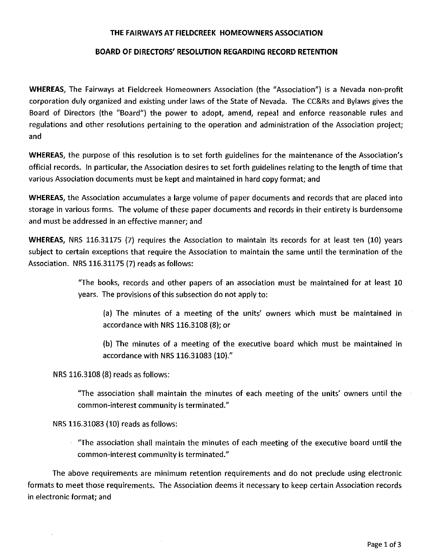#### THE FAIRWAYS AT FIELDCREEK HOMEOWNERS ASSOCIATION

#### BOARD OF DIRECTORS' RESOLUTION REGARDING RECORD RETENTION

WHEREAS, The Fairways at Fieldcreek Homeowners Association (the "Association") is a Nevada non-profit corporation duly organized and existing under laws of the State of Nevada. The CC&Rs and Bylaws gives the Board of Directors (the "Board") the power to adopt, amend, repeal and enforce reasonable rules and regulations and other resolutions pertaining to the operation and administration of the Association project; and

WHEREAS, the purpose of this resolution is to set forth guidelines for the maintenance of the Association's official records. In particular, the Association desires to set forth guidelines relating to the length of time that various Association documents must be kept and maintained in hard copy format; and

WHEREAS, the Association accumulates a large volume of paper documents and records that are placed into storage in various forms. The volume of these paper documents and records in their entirety is burdensome and must be addressed in an effective manner; and

WHEREAS, NRS 116.31175 (7) requires the Association to maintain its records for at least ten (10) years subject to certain exceptions that require the Association to maintain the same until the termination of the Association. NRS 116.31175 (7) reads as follows:

> "The books, records and other papers of an association must be maintained for at least 10 years. The provisions of this subsection do not apply to:

(a) The minutes of a meeting of the units' owners which must be maintained in accordance with NRS 116.3108 (8); or

(b) The minutes of a meeting of the executive board which must be maintained in accordance with NRS 116.31083 (10)."

NRS 116.3108 (8) reads as follows:

"The association shall maintain the minutes of each meeting of the units' owners until the common-interest community is terminated."

NRS 116.31083 (10) reads as follows:

"The association shall maintain the minutes of each meeting of the executive board until the common-interest community is terminated."

The above requirements are minimum retention requirements and do not preclude using electronic formats to meet those requirements. The Association deems it necessary to keep certain Association records in electronic format; and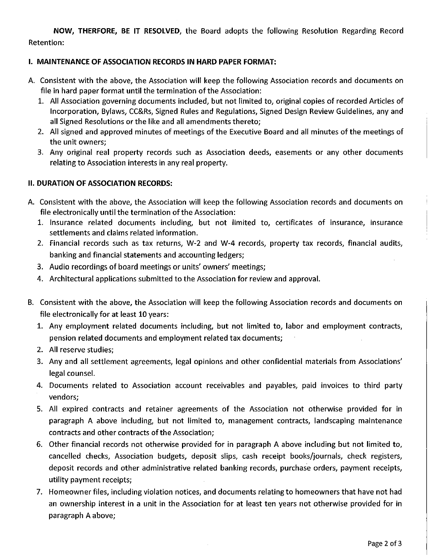NOW, THERFORE, BE **IT** RESOLVED, the Board adopts the following Resolution Regarding Record Retention:

# I. MAINTENANCE OF ASSOCIATION RECORDS IN HARD PAPER FORMAT:

- A. Consistent with the above, the Association will keep the following Association records and documents on file in hard paper format until the termination of the Association:
	- 1. All Association governing documents included, but not limited to, original copies of recorded Articles of Incorporation, Bylaws, CC&Rs, Signed Rules and Regulations, Signed Design Review Guidelines, any and all Signed Resolutions or the like and all amendments thereto;
	- 2. All signed and approved minutes of meetings of the Executive Board and all minutes of the meetings of the unit owners;
	- 3. Any original real property records such as Association deeds, easements or any other documents relating to Association interests in any real property.

# II. DURATION OF ASSOCIATION RECORDS:

- A. Consistent with the above, the Association will keep the following Association records and documents on file electronically until the termination of the Association:
	- 1. Insurance related documents including, but not limited to, certificates of insurance, insurance settlements and claims related information.
	- 2. Financial records such as tax returns, W-2 and W-4 records, property tax records, financial audits, banking and financial statements and accounting ledgers;
	- 3. Audio recordings of board meetings or units' owners' meetings;
	- 4. Architectural applications submitted to the Association for review and approval.
- B. Consistent with the above, the Association will keep the following Association records and documents on file electronically for at least 10 years:
	- 1. Any employment related documents including, but not limited to, labor and employment contracts, pension related documents and employment related tax documents;
	- 2. All reserve studies;
	- 3. Any and all settlement agreements, legal opinions and other confidential materials from Associations' legal counsel.
	- 4. Documents related to Association account receivables and payables, paid invoices to third party vendors;
	- 5. All expired contracts and retainer agreements of the Association not otherwise provided for in paragraph A above including, but not limited to, management contracts, landscaping maintenance contracts and other contracts of the Association;
	- 6. Other financial records not otherwise provided for in paragraph A above including but not limited to, cancelled checks, Association budgets, deposit slips, cash receipt books/journals, check registers, deposit records and other administrative related banking records, purchase orders, payment receipts, utility payment receipts;
	- 7. Homeowner files, including violation notices, and documents relating to homeowners that have not had an ownership interest in a unit in the Association for at least ten years not otherwise provided for in paragraph A above;